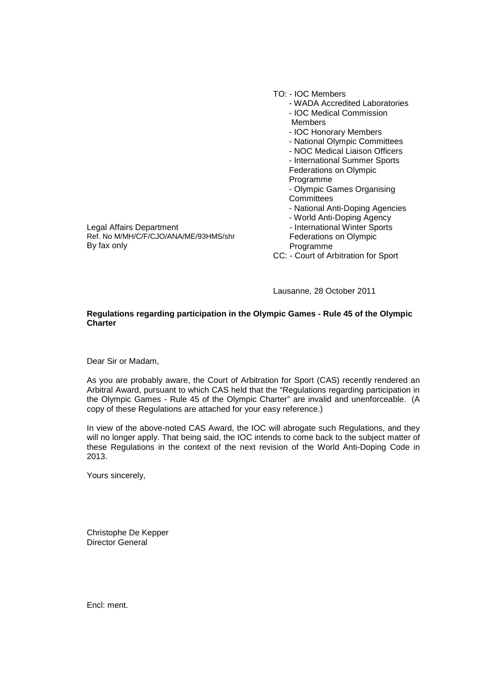|                                       | TO: - IOC Members                    |
|---------------------------------------|--------------------------------------|
|                                       | - WADA Accredited Laboratories       |
|                                       | - IOC Medical Commission             |
|                                       | Members                              |
|                                       | - IOC Honorary Members               |
|                                       | - National Olympic Committees        |
|                                       | - NOC Medical Liaison Officers       |
|                                       | - International Summer Sports        |
|                                       | Federations on Olympic               |
|                                       | Programme                            |
|                                       | - Olympic Games Organising           |
|                                       | Committees                           |
|                                       | - National Anti-Doping Agencies      |
|                                       | - World Anti-Doping Agency           |
| Legal Affairs Department              | - International Winter Sports        |
| Ref. No M/MH/C/F/CJO/ANA/ME/93HMS/shr | Federations on Olympic               |
| By fax only                           | Programme                            |
|                                       | CC: - Court of Arbitration for Sport |

Lausanne, 28 October 2011

## **Regulations regarding participation in the Olympic Games - Rule 45 of the Olympic Charter**

Dear Sir or Madam,

As you are probably aware, the Court of Arbitration for Sport (CAS) recently rendered an Arbitral Award, pursuant to which CAS held that the "Regulations regarding participation in the Olympic Games - Rule 45 of the Olympic Charter" are invalid and unenforceable. (A copy of these Regulations are attached for your easy reference.)

In view of the above-noted CAS Award, the IOC will abrogate such Regulations, and they will no longer apply. That being said, the IOC intends to come back to the subject matter of these Regulations in the context of the next revision of the World Anti-Doping Code in 2013.

Yours sincerely,

Christophe De Kepper Director General

Encl: ment.